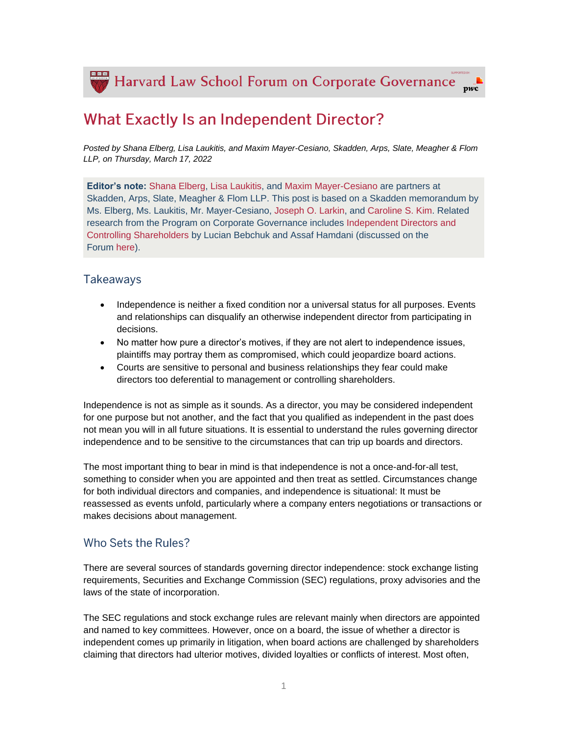Harvard Law School Forum on Corporate Governance  $\bar{pwc}$ 

# **What Exactly Is an Independent Director?**

*Posted by Shana Elberg, Lisa Laukitis, and Maxim Mayer-Cesiano, Skadden, Arps, Slate, Meagher & Flom LLP, on Thursday, March 17, 2022*

**Editor's note:** [Shana Elberg,](https://www.skadden.com/professionals/e/elberg-shana-a) [Lisa Laukitis,](https://www.skadden.com/professionals/l/laukitis-lisa) and [Maxim Mayer-Cesiano](https://www.skadden.com/professionals/m/mayercesiano-maxim) are partners at Skadden, Arps, Slate, Meagher & Flom LLP. This post is based on a Skadden memorandum by Ms. Elberg, Ms. Laukitis, Mr. Mayer-Cesiano, [Joseph O. Larkin,](https://www.skadden.com/professionals/l/larkin-joseph-o) and [Caroline S. Kim.](https://www.skadden.com/professionals/k/kim-caroline-s) Related research from the Program on Corporate Governance includes [Independent Directors and](https://papers.ssrn.com/sol3/papers.cfm?abstract_id=2741738)  [Controlling Shareholders](https://papers.ssrn.com/sol3/papers.cfm?abstract_id=2741738) by Lucian Bebchuk and Assaf Hamdani (discussed on the Forum [here\)](https://corpgov.law.harvard.edu/2017/05/03/independent-directors-and-controlling-shareholders/).

## **Takeaways**

- Independence is neither a fixed condition nor a universal status for all purposes. Events and relationships can disqualify an otherwise independent director from participating in decisions.
- No matter how pure a director's motives, if they are not alert to independence issues, plaintiffs may portray them as compromised, which could jeopardize board actions.
- Courts are sensitive to personal and business relationships they fear could make directors too deferential to management or controlling shareholders.

Independence is not as simple as it sounds. As a director, you may be considered independent for one purpose but not another, and the fact that you qualified as independent in the past does not mean you will in all future situations. It is essential to understand the rules governing director independence and to be sensitive to the circumstances that can trip up boards and directors.

The most important thing to bear in mind is that independence is not a once-and-for-all test, something to consider when you are appointed and then treat as settled. Circumstances change for both individual directors and companies, and independence is situational: It must be reassessed as events unfold, particularly where a company enters negotiations or transactions or makes decisions about management.

## Who Sets the Rules?

There are several sources of standards governing director independence: stock exchange listing requirements, Securities and Exchange Commission (SEC) regulations, proxy advisories and the laws of the state of incorporation.

The SEC regulations and stock exchange rules are relevant mainly when directors are appointed and named to key committees. However, once on a board, the issue of whether a director is independent comes up primarily in litigation, when board actions are challenged by shareholders claiming that directors had ulterior motives, divided loyalties or conflicts of interest. Most often,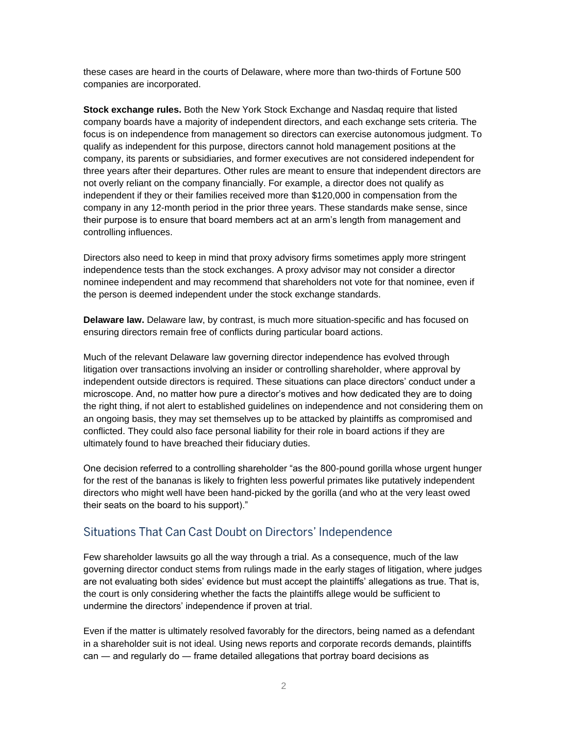these cases are heard in the courts of Delaware, where more than two-thirds of Fortune 500 companies are incorporated.

**Stock exchange rules.** Both the New York Stock Exchange and Nasdaq require that listed company boards have a majority of independent directors, and each exchange sets criteria. The focus is on independence from management so directors can exercise autonomous judgment. To qualify as independent for this purpose, directors cannot hold management positions at the company, its parents or subsidiaries, and former executives are not considered independent for three years after their departures. Other rules are meant to ensure that independent directors are not overly reliant on the company financially. For example, a director does not qualify as independent if they or their families received more than \$120,000 in compensation from the company in any 12-month period in the prior three years. These standards make sense, since their purpose is to ensure that board members act at an arm's length from management and controlling influences.

Directors also need to keep in mind that proxy advisory firms sometimes apply more stringent independence tests than the stock exchanges. A proxy advisor may not consider a director nominee independent and may recommend that shareholders not vote for that nominee, even if the person is deemed independent under the stock exchange standards.

**Delaware law.** Delaware law, by contrast, is much more situation-specific and has focused on ensuring directors remain free of conflicts during particular board actions.

Much of the relevant Delaware law governing director independence has evolved through litigation over transactions involving an insider or controlling shareholder, where approval by independent outside directors is required. These situations can place directors' conduct under a microscope. And, no matter how pure a director's motives and how dedicated they are to doing the right thing, if not alert to established guidelines on independence and not considering them on an ongoing basis, they may set themselves up to be attacked by plaintiffs as compromised and conflicted. They could also face personal liability for their role in board actions if they are ultimately found to have breached their fiduciary duties.

One decision referred to a controlling shareholder "as the 800-pound gorilla whose urgent hunger for the rest of the bananas is likely to frighten less powerful primates like putatively independent directors who might well have been hand-picked by the gorilla (and who at the very least owed their seats on the board to his support)."

## Situations That Can Cast Doubt on Directors' Independence

Few shareholder lawsuits go all the way through a trial. As a consequence, much of the law governing director conduct stems from rulings made in the early stages of litigation, where judges are not evaluating both sides' evidence but must accept the plaintiffs' allegations as true. That is, the court is only considering whether the facts the plaintiffs allege would be sufficient to undermine the directors' independence if proven at trial.

Even if the matter is ultimately resolved favorably for the directors, being named as a defendant in a shareholder suit is not ideal. Using news reports and corporate records demands, plaintiffs can ― and regularly do ― frame detailed allegations that portray board decisions as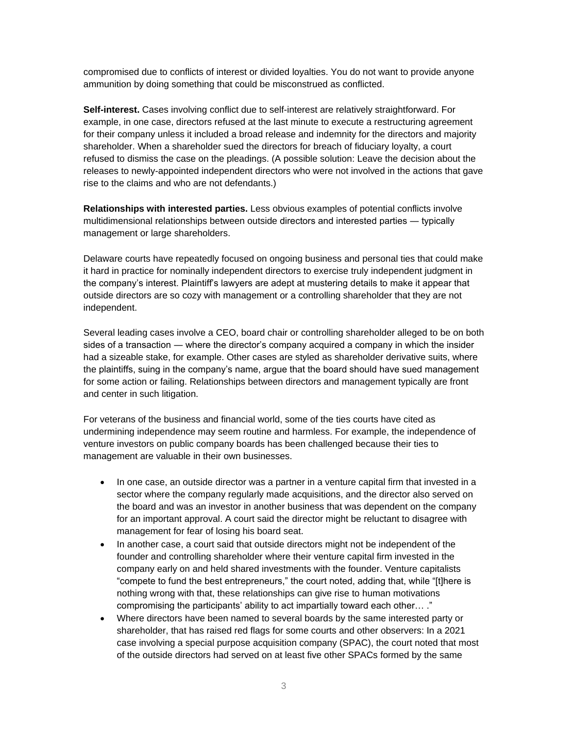compromised due to conflicts of interest or divided loyalties. You do not want to provide anyone ammunition by doing something that could be misconstrued as conflicted.

**Self-interest.** Cases involving conflict due to self-interest are relatively straightforward. For example, in one case, directors refused at the last minute to execute a restructuring agreement for their company unless it included a broad release and indemnity for the directors and majority shareholder. When a shareholder sued the directors for breach of fiduciary loyalty, a court refused to dismiss the case on the pleadings. (A possible solution: Leave the decision about the releases to newly-appointed independent directors who were not involved in the actions that gave rise to the claims and who are not defendants.)

**Relationships with interested parties.** Less obvious examples of potential conflicts involve multidimensional relationships between outside directors and interested parties ― typically management or large shareholders.

Delaware courts have repeatedly focused on ongoing business and personal ties that could make it hard in practice for nominally independent directors to exercise truly independent judgment in the company's interest. Plaintiff's lawyers are adept at mustering details to make it appear that outside directors are so cozy with management or a controlling shareholder that they are not independent.

Several leading cases involve a CEO, board chair or controlling shareholder alleged to be on both sides of a transaction ― where the director's company acquired a company in which the insider had a sizeable stake, for example. Other cases are styled as shareholder derivative suits, where the plaintiffs, suing in the company's name, argue that the board should have sued management for some action or failing. Relationships between directors and management typically are front and center in such litigation.

For veterans of the business and financial world, some of the ties courts have cited as undermining independence may seem routine and harmless. For example, the independence of venture investors on public company boards has been challenged because their ties to management are valuable in their own businesses.

- In one case, an outside director was a partner in a venture capital firm that invested in a sector where the company regularly made acquisitions, and the director also served on the board and was an investor in another business that was dependent on the company for an important approval. A court said the director might be reluctant to disagree with management for fear of losing his board seat.
- In another case, a court said that outside directors might not be independent of the founder and controlling shareholder where their venture capital firm invested in the company early on and held shared investments with the founder. Venture capitalists "compete to fund the best entrepreneurs," the court noted, adding that, while "[t]here is nothing wrong with that, these relationships can give rise to human motivations compromising the participants' ability to act impartially toward each other… ."
- Where directors have been named to several boards by the same interested party or shareholder, that has raised red flags for some courts and other observers: In a 2021 case involving a special purpose acquisition company (SPAC), the court noted that most of the outside directors had served on at least five other SPACs formed by the same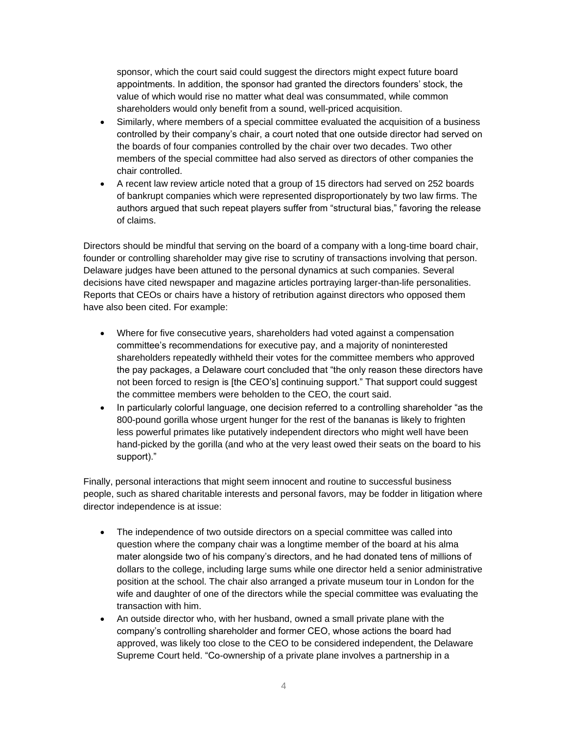sponsor, which the court said could suggest the directors might expect future board appointments. In addition, the sponsor had granted the directors founders' stock, the value of which would rise no matter what deal was consummated, while common shareholders would only benefit from a sound, well-priced acquisition.

- Similarly, where members of a special committee evaluated the acquisition of a business controlled by their company's chair, a court noted that one outside director had served on the boards of four companies controlled by the chair over two decades. Two other members of the special committee had also served as directors of other companies the chair controlled.
- A recent law review article noted that a group of 15 directors had served on 252 boards of bankrupt companies which were represented disproportionately by two law firms. The authors argued that such repeat players suffer from "structural bias," favoring the release of claims.

Directors should be mindful that serving on the board of a company with a long-time board chair, founder or controlling shareholder may give rise to scrutiny of transactions involving that person. Delaware judges have been attuned to the personal dynamics at such companies. Several decisions have cited newspaper and magazine articles portraying larger-than-life personalities. Reports that CEOs or chairs have a history of retribution against directors who opposed them have also been cited. For example:

- Where for five consecutive years, shareholders had voted against a compensation committee's recommendations for executive pay, and a majority of noninterested shareholders repeatedly withheld their votes for the committee members who approved the pay packages, a Delaware court concluded that "the only reason these directors have not been forced to resign is [the CEO's] continuing support." That support could suggest the committee members were beholden to the CEO, the court said.
- In particularly colorful language, one decision referred to a controlling shareholder "as the 800-pound gorilla whose urgent hunger for the rest of the bananas is likely to frighten less powerful primates like putatively independent directors who might well have been hand-picked by the gorilla (and who at the very least owed their seats on the board to his support)."

Finally, personal interactions that might seem innocent and routine to successful business people, such as shared charitable interests and personal favors, may be fodder in litigation where director independence is at issue:

- The independence of two outside directors on a special committee was called into question where the company chair was a longtime member of the board at his alma mater alongside two of his company's directors, and he had donated tens of millions of dollars to the college, including large sums while one director held a senior administrative position at the school. The chair also arranged a private museum tour in London for the wife and daughter of one of the directors while the special committee was evaluating the transaction with him.
- An outside director who, with her husband, owned a small private plane with the company's controlling shareholder and former CEO, whose actions the board had approved, was likely too close to the CEO to be considered independent, the Delaware Supreme Court held. "Co-ownership of a private plane involves a partnership in a